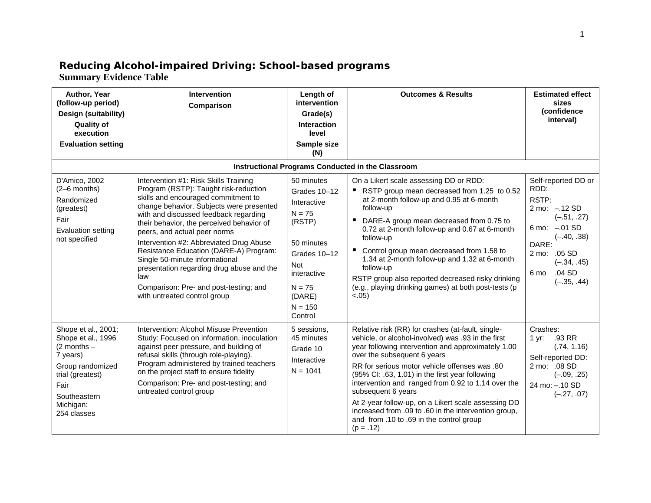## **Reducing Alcohol-impaired Driving: School-based programs Summary Evidence Table**

| Author, Year<br>(follow-up period)<br>Design (suitability)<br><b>Quality of</b><br>execution<br><b>Evaluation setting</b>                                            | <b>Intervention</b><br>Comparison                                                                                                                                                                                                                                                                                                                                                                                                                                                                                                            | Length of<br>intervention<br>Grade(s)<br>Interaction<br>level<br>Sample size<br>(N)                                                                               | <b>Outcomes &amp; Results</b>                                                                                                                                                                                                                                                                                                                                                                                                                                                                                                                        | <b>Estimated effect</b><br>sizes<br>(confidence<br>interval)                                                                                                                            |
|----------------------------------------------------------------------------------------------------------------------------------------------------------------------|----------------------------------------------------------------------------------------------------------------------------------------------------------------------------------------------------------------------------------------------------------------------------------------------------------------------------------------------------------------------------------------------------------------------------------------------------------------------------------------------------------------------------------------------|-------------------------------------------------------------------------------------------------------------------------------------------------------------------|------------------------------------------------------------------------------------------------------------------------------------------------------------------------------------------------------------------------------------------------------------------------------------------------------------------------------------------------------------------------------------------------------------------------------------------------------------------------------------------------------------------------------------------------------|-----------------------------------------------------------------------------------------------------------------------------------------------------------------------------------------|
|                                                                                                                                                                      |                                                                                                                                                                                                                                                                                                                                                                                                                                                                                                                                              |                                                                                                                                                                   | Instructional Programs Conducted in the Classroom                                                                                                                                                                                                                                                                                                                                                                                                                                                                                                    |                                                                                                                                                                                         |
| D'Amico, 2002<br>(2-6 months)<br>Randomized<br>(greatest)<br>Fair<br>Evaluation setting<br>not specified                                                             | Intervention #1: Risk Skills Training<br>Program (RSTP): Taught risk-reduction<br>skills and encouraged commitment to<br>change behavior. Subjects were presented<br>with and discussed feedback regarding<br>their behavior, the perceived behavior of<br>peers, and actual peer norms<br>Intervention #2: Abbreviated Drug Abuse<br>Resistance Education (DARE-A) Program:<br>Single 50-minute informational<br>presentation regarding drug abuse and the<br>law<br>Comparison: Pre- and post-testing; and<br>with untreated control group | 50 minutes<br>Grades 10-12<br>Interactive<br>$N = 75$<br>(RSTP)<br>50 minutes<br>Grades 10-12<br>Not<br>interactive<br>$N = 75$<br>(DARE)<br>$N = 150$<br>Control | On a Likert scale assessing DD or RDD:<br>RSTP group mean decreased from 1.25 to 0.52<br>at 2-month follow-up and 0.95 at 6-month<br>follow-up<br>DARE-A group mean decreased from 0.75 to<br>0.72 at 2-month follow-up and 0.67 at 6-month<br>follow-up<br>Control group mean decreased from 1.58 to<br>1.34 at 2-month follow-up and 1.32 at 6-month<br>follow-up<br>RSTP group also reported decreased risky drinking<br>(e.g., playing drinking games) at both post-tests (p<br>< .05)                                                           | Self-reported DD or<br>RDD:<br>RSTP:<br>2 mo: -.12 SD<br>$(-.51, .27)$<br>6 mo: -.01 SD<br>$(-.40, .38)$<br>DARE:<br>2 mo: .05 SD<br>$(-.34, .45)$<br>$.04$ SD<br>6 mo<br>$(-.35, .44)$ |
| Shope et al., 2001;<br>Shope et al., 1996<br>$(2$ months $-$<br>7 years)<br>Group randomized<br>trial (greatest)<br>Fair<br>Southeastern<br>Michigan:<br>254 classes | Intervention: Alcohol Misuse Prevention<br>Study: Focused on information, inoculation<br>against peer pressure, and building of<br>refusal skills (through role-playing).<br>Program administered by trained teachers<br>on the project staff to ensure fidelity<br>Comparison: Pre- and post-testing; and<br>untreated control group                                                                                                                                                                                                        | 5 sessions,<br>45 minutes<br>Grade 10<br>Interactive<br>$N = 1041$                                                                                                | Relative risk (RR) for crashes (at-fault, single-<br>vehicle, or alcohol-involved) was .93 in the first<br>year following intervention and approximately 1.00<br>over the subsequent 6 years<br>RR for serious motor vehicle offenses was .80<br>(95% Cl: .63, 1.01) in the first year following<br>intervention and ranged from 0.92 to 1.14 over the<br>subsequent 6 years<br>At 2-year follow-up, on a Likert scale assessing DD<br>increased from .09 to .60 in the intervention group,<br>and from .10 to .69 in the control group<br>$(p=.12)$ | Crashes:<br>.93 RR<br>1 yr:<br>(.74, 1.16)<br>Self-reported DD:<br>2 mo: .08 SD<br>$(-.09, .25)$<br>24 mo: -. 10 SD<br>$(-.27, .07)$                                                    |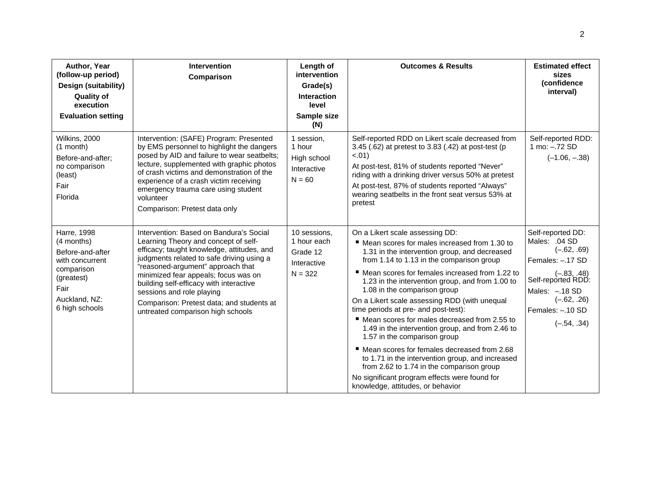| Author, Year<br>(follow-up period)<br>Design (suitability)<br><b>Quality of</b><br>execution<br><b>Evaluation setting</b>               | <b>Intervention</b><br>Comparison                                                                                                                                                                                                                                                                                                                                                                                 | Length of<br>intervention<br>Grade(s)<br><b>Interaction</b><br>level<br>Sample size<br>(N) | <b>Outcomes &amp; Results</b>                                                                                                                                                                                                                                                                                                                                                                                                                                                                                                                                                                                                                                                                                                                                                                  | <b>Estimated effect</b><br>sizes<br>(confidence<br>interval)                                                                                                                            |
|-----------------------------------------------------------------------------------------------------------------------------------------|-------------------------------------------------------------------------------------------------------------------------------------------------------------------------------------------------------------------------------------------------------------------------------------------------------------------------------------------------------------------------------------------------------------------|--------------------------------------------------------------------------------------------|------------------------------------------------------------------------------------------------------------------------------------------------------------------------------------------------------------------------------------------------------------------------------------------------------------------------------------------------------------------------------------------------------------------------------------------------------------------------------------------------------------------------------------------------------------------------------------------------------------------------------------------------------------------------------------------------------------------------------------------------------------------------------------------------|-----------------------------------------------------------------------------------------------------------------------------------------------------------------------------------------|
| Wilkins, 2000<br>$(1$ month)<br>Before-and-after:<br>no comparison<br>(least)<br>Fair<br>Florida                                        | Intervention: (SAFE) Program: Presented<br>by EMS personnel to highlight the dangers<br>posed by AID and failure to wear seatbelts;<br>lecture, supplemented with graphic photos<br>of crash victims and demonstration of the<br>experience of a crash victim receiving<br>emergency trauma care using student<br>volunteer<br>Comparison: Pretest data only                                                      | 1 session,<br>1 hour<br>High school<br>Interactive<br>$N = 60$                             | Self-reported RDD on Likert scale decreased from<br>3.45 (.62) at pretest to 3.83 (.42) at post-test (p<br>$-.01)$<br>At post-test, 81% of students reported "Never"<br>riding with a drinking driver versus 50% at pretest<br>At post-test, 87% of students reported "Always"<br>wearing seatbelts in the front seat versus 53% at<br>pretest                                                                                                                                                                                                                                                                                                                                                                                                                                                 | Self-reported RDD:<br>1 mo: -.72 SD<br>$(-1.06, -.38)$                                                                                                                                  |
| Harre, 1998<br>(4 months)<br>Before-and-after<br>with concurrent<br>comparison<br>(greatest)<br>Fair<br>Auckland, NZ:<br>6 high schools | Intervention: Based on Bandura's Social<br>Learning Theory and concept of self-<br>efficacy; taught knowledge, attitudes, and<br>judgments related to safe driving using a<br>"reasoned-argument" approach that<br>minimized fear appeals; focus was on<br>building self-efficacy with interactive<br>sessions and role playing<br>Comparison: Pretest data; and students at<br>untreated comparison high schools | 10 sessions,<br>1 hour each<br>Grade 12<br>Interactive<br>$N = 322$                        | On a Likert scale assessing DD:<br>■ Mean scores for males increased from 1.30 to<br>1.31 in the intervention group, and decreased<br>from 1.14 to 1.13 in the comparison group<br>■ Mean scores for females increased from 1.22 to<br>1.23 in the intervention group, and from 1.00 to<br>1.08 in the comparison group<br>On a Likert scale assessing RDD (with unequal<br>time periods at pre- and post-test):<br>■ Mean scores for males decreased from 2.55 to<br>1.49 in the intervention group, and from 2.46 to<br>1.57 in the comparison group<br>■ Mean scores for females decreased from 2.68<br>to 1.71 in the intervention group, and increased<br>from 2.62 to 1.74 in the comparison group<br>No significant program effects were found for<br>knowledge, attitudes, or behavior | Self-reported DD:<br>Males: .04 SD<br>$(-.62, .69)$<br>Females: -.17 SD<br>$(-.83, .48)$<br>Self-reported RDD:<br>Males: -. 18 SD<br>$(-.62, .26)$<br>Females: -.10 SD<br>$(-.54, .34)$ |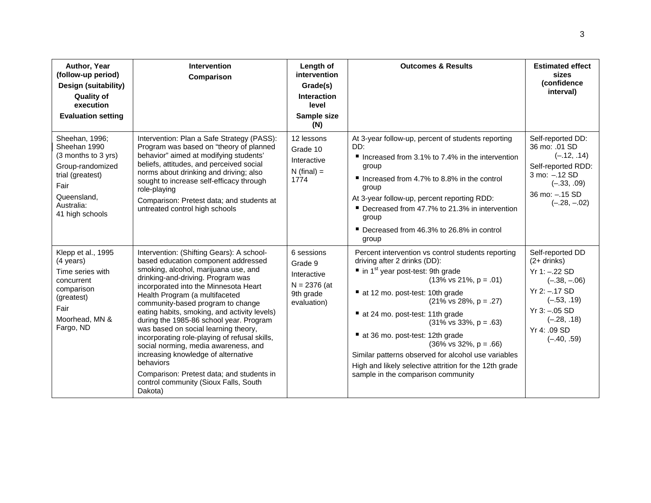| Author, Year<br>(follow-up period)<br>Design (suitability)<br><b>Quality of</b><br>execution<br><b>Evaluation setting</b>                             | <b>Intervention</b><br>Comparison                                                                                                                                                                                                                                                                                                                                                                                                                                                                                                                                                                                                                              | Length of<br>intervention<br>Grade(s)<br><b>Interaction</b><br>level<br>Sample size<br>(N) | <b>Outcomes &amp; Results</b>                                                                                                                                                                                                                                                                                                                                                                                                                                                                                                                                                                                 | <b>Estimated effect</b><br>sizes<br>(confidence<br>interval)                                                                                                                        |
|-------------------------------------------------------------------------------------------------------------------------------------------------------|----------------------------------------------------------------------------------------------------------------------------------------------------------------------------------------------------------------------------------------------------------------------------------------------------------------------------------------------------------------------------------------------------------------------------------------------------------------------------------------------------------------------------------------------------------------------------------------------------------------------------------------------------------------|--------------------------------------------------------------------------------------------|---------------------------------------------------------------------------------------------------------------------------------------------------------------------------------------------------------------------------------------------------------------------------------------------------------------------------------------------------------------------------------------------------------------------------------------------------------------------------------------------------------------------------------------------------------------------------------------------------------------|-------------------------------------------------------------------------------------------------------------------------------------------------------------------------------------|
| Sheehan, 1996;<br>Sheehan 1990<br>(3 months to 3 yrs)<br>Group-randomized<br>trial (greatest)<br>Fair<br>Queensland,<br>Australia:<br>41 high schools | Intervention: Plan a Safe Strategy (PASS):<br>Program was based on "theory of planned<br>behavior" aimed at modifying students'<br>beliefs, attitudes, and perceived social<br>norms about drinking and driving; also<br>sought to increase self-efficacy through<br>role-playing<br>Comparison: Pretest data; and students at<br>untreated control high schools                                                                                                                                                                                                                                                                                               | 12 lessons<br>Grade 10<br>Interactive<br>$N$ (final) =<br>1774                             | At 3-year follow-up, percent of students reporting<br>DD:<br>Increased from 3.1% to 7.4% in the intervention<br>group<br>Increased from 4.7% to 8.8% in the control<br>group<br>At 3-year follow-up, percent reporting RDD:<br>■ Decreased from 47.7% to 21.3% in intervention<br>group<br>■ Decreased from 46.3% to 26.8% in control<br>group                                                                                                                                                                                                                                                                | Self-reported DD:<br>36 mo: .01 SD<br>$(-.12, .14)$<br>Self-reported RDD:<br>3 mo: -.12 SD<br>$(-.33, .09)$<br>36 mo: -. 15 SD<br>$(-.28, -.02)$                                    |
| Klepp et al., 1995<br>$(4 \text{ years})$<br>Time series with<br>concurrent<br>comparison<br>(greatest)<br>Fair<br>Moorhead, MN &<br>Fargo, ND        | Intervention: (Shifting Gears): A school-<br>based education component addressed<br>smoking, alcohol, marijuana use, and<br>drinking-and-driving. Program was<br>incorporated into the Minnesota Heart<br>Health Program (a multifaceted<br>community-based program to change<br>eating habits, smoking, and activity levels)<br>during the 1985-86 school year. Program<br>was based on social learning theory,<br>incorporating role-playing of refusal skills,<br>social norming, media awareness, and<br>increasing knowledge of alternative<br>behaviors<br>Comparison: Pretest data; and students in<br>control community (Sioux Falls, South<br>Dakota) | 6 sessions<br>Grade 9<br>Interactive<br>$N = 2376$ (at<br>9th grade<br>evaluation)         | Percent intervention vs control students reporting<br>driving after 2 drinks (DD):<br>$\blacksquare$ in 1 <sup>st</sup> year post-test: 9th grade<br>$(13\% \text{ vs } 21\%, \text{ p } = .01)$<br>at 12 mo. post-test: 10th grade<br>$(21\% \text{ vs } 28\%, \text{ p } = .27)$<br>at 24 mo. post-test: 11th grade<br>$(31\% \text{ vs } 33\%, \text{ p } = .63)$<br>at 36 mo. post-test: 12th grade<br>$(36\% \text{ vs } 32\%, \text{ p } = .66)$<br>Similar patterns observed for alcohol use variables<br>High and likely selective attrition for the 12th grade<br>sample in the comparison community | Self-reported DD<br>$(2+$ drinks)<br>$Yr 1: -.22 SD$<br>$(-.38, -.06)$<br>$Yr$ 2: $-.17$ SD<br>$(-.53, .19)$<br>$Yr$ 3: $-.05$ SD<br>$(-.28, .18)$<br>Yr 4: .09 SD<br>$(-.40, .59)$ |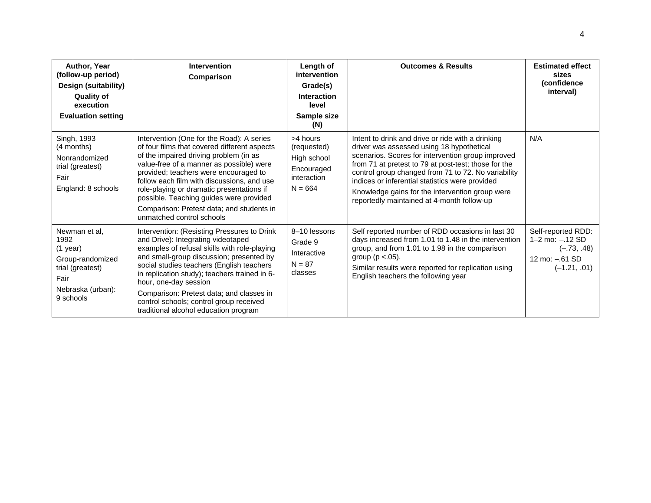| Author, Year<br>(follow-up period)<br>Design (suitability)<br><b>Quality of</b><br>execution<br><b>Evaluation setting</b> | <b>Intervention</b><br>Comparison                                                                                                                                                                                                                                                                                                                                                                                                        | Length of<br>intervention<br>Grade(s)<br><b>Interaction</b><br>level<br>Sample size<br>(N) | <b>Outcomes &amp; Results</b>                                                                                                                                                                                                                                                                                                                                                                                          | <b>Estimated effect</b><br>sizes<br>(confidence<br>interval)                                     |
|---------------------------------------------------------------------------------------------------------------------------|------------------------------------------------------------------------------------------------------------------------------------------------------------------------------------------------------------------------------------------------------------------------------------------------------------------------------------------------------------------------------------------------------------------------------------------|--------------------------------------------------------------------------------------------|------------------------------------------------------------------------------------------------------------------------------------------------------------------------------------------------------------------------------------------------------------------------------------------------------------------------------------------------------------------------------------------------------------------------|--------------------------------------------------------------------------------------------------|
| Singh, 1993<br>(4 months)<br>Nonrandomized<br>trial (greatest)<br>Fair<br>England: 8 schools                              | Intervention (One for the Road): A series<br>of four films that covered different aspects<br>of the impaired driving problem (in as<br>value-free of a manner as possible) were<br>provided; teachers were encouraged to<br>follow each film with discussions, and use<br>role-playing or dramatic presentations if<br>possible. Teaching guides were provided<br>Comparison: Pretest data; and students in<br>unmatched control schools | >4 hours<br>(requested)<br>High school<br>Encouraged<br>interaction<br>$N = 664$           | Intent to drink and drive or ride with a drinking<br>driver was assessed using 18 hypothetical<br>scenarios. Scores for intervention group improved<br>from 71 at pretest to 79 at post-test; those for the<br>control group changed from 71 to 72. No variability<br>indices or inferential statistics were provided<br>Knowledge gains for the intervention group were<br>reportedly maintained at 4-month follow-up | N/A                                                                                              |
| Newman et al.<br>1992<br>$(1$ year)<br>Group-randomized<br>trial (greatest)<br>Fair<br>Nebraska (urban):<br>9 schools     | Intervention: (Resisting Pressures to Drink<br>and Drive): Integrating videotaped<br>examples of refusal skills with role-playing<br>and small-group discussion; presented by<br>social studies teachers (English teachers<br>in replication study); teachers trained in 6-<br>hour, one-day session<br>Comparison: Pretest data; and classes in<br>control schools; control group received<br>traditional alcohol education program     | 8-10 lessons<br>Grade 9<br>Interactive<br>$N = 87$<br>classes                              | Self reported number of RDD occasions in last 30<br>days increased from 1.01 to 1.48 in the intervention<br>group, and from 1.01 to 1.98 in the comparison<br>group ( $p < .05$ ).<br>Similar results were reported for replication using<br>English teachers the following year                                                                                                                                       | Self-reported RDD:<br>$1 - 2$ mo: $-.12$ SD<br>$(-.73, .48)$<br>12 mo: -.61 SD<br>$(-1.21, .01)$ |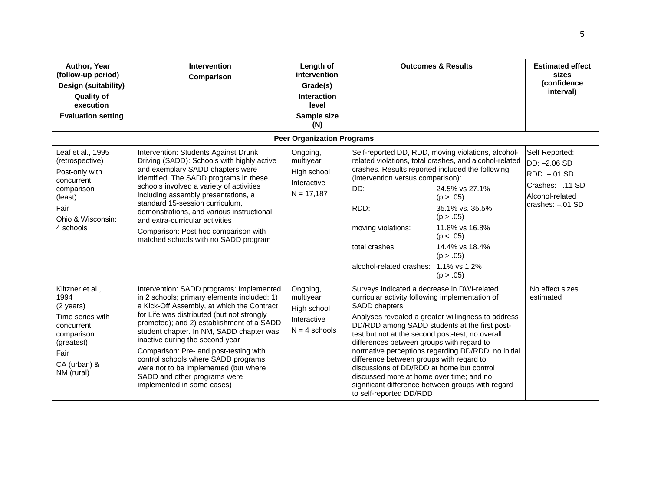| Author, Year<br>(follow-up period)<br>Design (suitability)<br><b>Quality of</b><br>execution<br><b>Evaluation setting</b>                 | <b>Intervention</b><br>Comparison                                                                                                                                                                                                                                                                                                                                                                                                                                                                       | Length of<br>intervention<br>Grade(s)<br><b>Interaction</b><br>level<br>Sample size<br>(N) |                                                                                                                                                                                                                                                                                                                                                                                                                                                                                                                                                                                                    | <b>Outcomes &amp; Results</b>                                                                                                                                                                                                                          | <b>Estimated effect</b><br>sizes<br>(confidence<br>interval)                                              |
|-------------------------------------------------------------------------------------------------------------------------------------------|---------------------------------------------------------------------------------------------------------------------------------------------------------------------------------------------------------------------------------------------------------------------------------------------------------------------------------------------------------------------------------------------------------------------------------------------------------------------------------------------------------|--------------------------------------------------------------------------------------------|----------------------------------------------------------------------------------------------------------------------------------------------------------------------------------------------------------------------------------------------------------------------------------------------------------------------------------------------------------------------------------------------------------------------------------------------------------------------------------------------------------------------------------------------------------------------------------------------------|--------------------------------------------------------------------------------------------------------------------------------------------------------------------------------------------------------------------------------------------------------|-----------------------------------------------------------------------------------------------------------|
|                                                                                                                                           |                                                                                                                                                                                                                                                                                                                                                                                                                                                                                                         | <b>Peer Organization Programs</b>                                                          |                                                                                                                                                                                                                                                                                                                                                                                                                                                                                                                                                                                                    |                                                                                                                                                                                                                                                        |                                                                                                           |
| Leaf et al., 1995<br>(retrospective)<br>Post-only with<br>concurrent<br>comparison<br>(least)<br>Fair<br>Ohio & Wisconsin:<br>4 schools   | Intervention: Students Against Drunk<br>Driving (SADD): Schools with highly active<br>and exemplary SADD chapters were<br>identified. The SADD programs in these<br>schools involved a variety of activities<br>including assembly presentations, a<br>standard 15-session curriculum,<br>demonstrations, and various instructional<br>and extra-curricular activities<br>Comparison: Post hoc comparison with<br>matched schools with no SADD program                                                  | Ongoing,<br>multiyear<br>High school<br>Interactive<br>$N = 17,187$                        | crashes. Results reported included the following<br>(intervention versus comparison):<br>DD:<br>RDD:<br>moving violations:<br>total crashes:<br>alcohol-related crashes: 1.1% vs 1.2%                                                                                                                                                                                                                                                                                                                                                                                                              | Self-reported DD, RDD, moving violations, alcohol-<br>related violations, total crashes, and alcohol-related<br>24.5% vs 27.1%<br>(p > .05)<br>35.1% vs. 35.5%<br>(p > .05)<br>11.8% vs 16.8%<br>(p < .05)<br>14.4% vs 18.4%<br>(p > .05)<br>(p > .05) | Self Reported:<br>DD: -2.06 SD<br>RDD: -.01 SD<br>Crashes: -.11 SD<br>Alcohol-related<br>crashes: -.01 SD |
| Klitzner et al.,<br>1994<br>(2 years)<br>Time series with<br>concurrent<br>comparison<br>(greatest)<br>Fair<br>CA (urban) &<br>NM (rural) | Intervention: SADD programs: Implemented<br>in 2 schools; primary elements included: 1)<br>a Kick-Off Assembly, at which the Contract<br>for Life was distributed (but not strongly<br>promoted); and 2) establishment of a SADD<br>student chapter. In NM, SADD chapter was<br>inactive during the second year<br>Comparison: Pre- and post-testing with<br>control schools where SADD programs<br>were not to be implemented (but where<br>SADD and other programs were<br>implemented in some cases) | Ongoing,<br>multiyear<br>High school<br>Interactive<br>$N = 4$ schools                     | Surveys indicated a decrease in DWI-related<br>curricular activity following implementation of<br>SADD chapters<br>Analyses revealed a greater willingness to address<br>DD/RDD among SADD students at the first post-<br>test but not at the second post-test; no overall<br>differences between groups with regard to<br>normative perceptions regarding DD/RDD; no initial<br>difference between groups with regard to<br>discussions of DD/RDD at home but control<br>discussed more at home over time; and no<br>significant difference between groups with regard<br>to self-reported DD/RDD |                                                                                                                                                                                                                                                        | No effect sizes<br>estimated                                                                              |